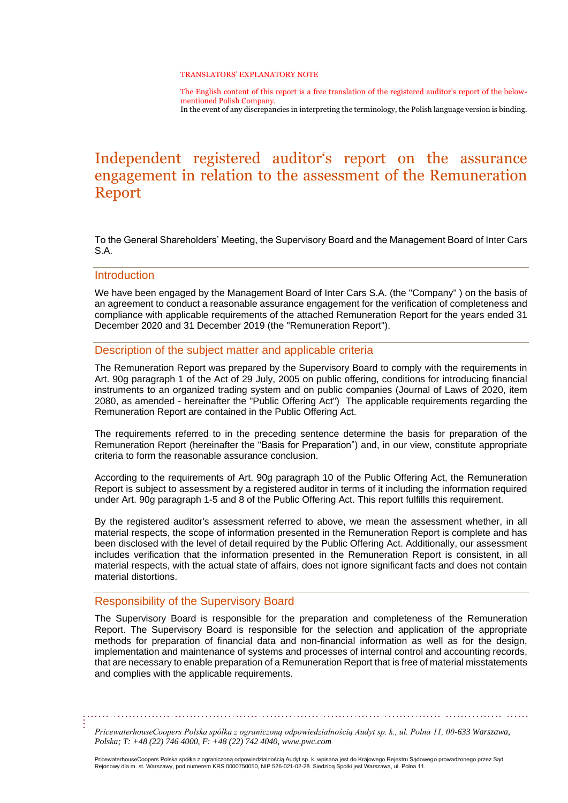#### TRANSLATORS' EXPLANATORY NOTE

The English content of this report is a free translation of the registered auditor's report of the belowmentioned Polish Company. In the event of any discrepancies in interpreting the terminology, the Polish language version is binding.

# Independent registered auditor's report on the assurance engagement in relation to the assessment of the Remuneration Report

To the General Shareholders' Meeting, the Supervisory Board and the Management Board of Inter Cars S.A.

#### **Introduction**

We have been engaged by the Management Board of Inter Cars S.A. (the "Company" ) on the basis of an agreement to conduct a reasonable assurance engagement for the verification of completeness and compliance with applicable requirements of the attached Remuneration Report for the years ended 31 December 2020 and 31 December 2019 (the "Remuneration Report").

### Description of the subject matter and applicable criteria

The Remuneration Report was prepared by the Supervisory Board to comply with the requirements in Art. 90g paragraph 1 of the Act of 29 July, 2005 on public offering, conditions for introducing financial instruments to an organized trading system and on public companies (Journal of Laws of 2020, item 2080, as amended - hereinafter the "Public Offering Act") The applicable requirements regarding the Remuneration Report are contained in the Public Offering Act.

The requirements referred to in the preceding sentence determine the basis for preparation of the Remuneration Report (hereinafter the "Basis for Preparation") and, in our view, constitute appropriate criteria to form the reasonable assurance conclusion.

According to the requirements of Art. 90g paragraph 10 of the Public Offering Act, the Remuneration Report is subject to assessment by a registered auditor in terms of it including the information required under Art. 90g paragraph 1-5 and 8 of the Public Offering Act. This report fulfills this requirement.

By the registered auditor's assessment referred to above, we mean the assessment whether, in all material respects, the scope of information presented in the Remuneration Report is complete and has been disclosed with the level of detail required by the Public Offering Act. Additionally, our assessment includes verification that the information presented in the Remuneration Report is consistent, in all material respects, with the actual state of affairs, does not ignore significant facts and does not contain material distortions.

### Responsibility of the Supervisory Board

The Supervisory Board is responsible for the preparation and completeness of the Remuneration Report. The Supervisory Board is responsible for the selection and application of the appropriate methods for preparation of financial data and non-financial information as well as for the design, implementation and maintenance of systems and processes of internal control and accounting records, that are necessary to enable preparation of a Remuneration Report that is free of material misstatements and complies with the applicable requirements.

*PricewaterhouseCoopers Polska spółka z ograniczoną odpowiedzialnością Audyt sp. k., ul. Polna 11, 00-633 Warszawa, Polska; T: +48 (22) 746 4000, F: +48 (22) 742 4040[, www.pwc.com](http://www.pwc.com/)*

PricewaterhouseCoopers Polska spółka z ograniczoną odpowiedzialnością Audyt sp. k. wpisana jest do Krajowego Rejestru Sądowego prowadzonego przez Sąd<br>Rejonowy dla m. st. Warszawy, pod numerem KRS 0000750050, NIP 526-021-02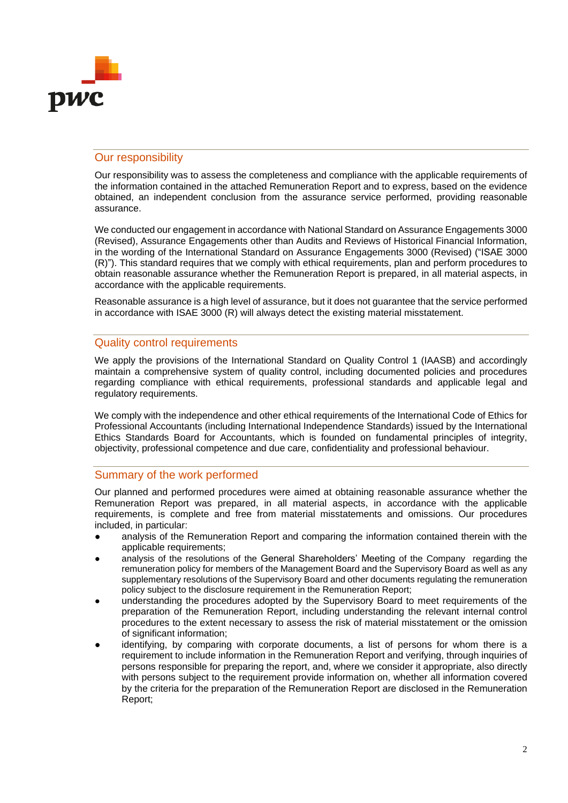

## Our responsibility

Our responsibility was to assess the completeness and compliance with the applicable requirements of the information contained in the attached Remuneration Report and to express, based on the evidence obtained, an independent conclusion from the assurance service performed, providing reasonable assurance.

We conducted our engagement in accordance with National Standard on Assurance Engagements 3000 (Revised), Assurance Engagements other than Audits and Reviews of Historical Financial Information, in the wording of the International Standard on Assurance Engagements 3000 (Revised) ("ISAE 3000 (R)"). This standard requires that we comply with ethical requirements, plan and perform procedures to obtain reasonable assurance whether the Remuneration Report is prepared, in all material aspects, in accordance with the applicable requirements.

Reasonable assurance is a high level of assurance, but it does not guarantee that the service performed in accordance with ISAE 3000 (R) will always detect the existing material misstatement.

### Quality control requirements

We apply the provisions of the International Standard on Quality Control 1 (IAASB) and accordingly maintain a comprehensive system of quality control, including documented policies and procedures regarding compliance with ethical requirements, professional standards and applicable legal and regulatory requirements.

We comply with the independence and other ethical requirements of the International Code of Ethics for Professional Accountants (including International Independence Standards) issued by the International Ethics Standards Board for Accountants, which is founded on fundamental principles of integrity, objectivity, professional competence and due care, confidentiality and professional behaviour.

### Summary of the work performed

Our planned and performed procedures were aimed at obtaining reasonable assurance whether the Remuneration Report was prepared, in all material aspects, in accordance with the applicable requirements, is complete and free from material misstatements and omissions. Our procedures included, in particular:

- analysis of the Remuneration Report and comparing the information contained therein with the applicable requirements;
- analysis of the resolutions of the General Shareholders' Meeting of the Company regarding the remuneration policy for members of the Management Board and the Supervisory Board as well as any supplementary resolutions of the Supervisory Board and other documents regulating the remuneration policy subject to the disclosure requirement in the Remuneration Report;
- understanding the procedures adopted by the Supervisory Board to meet requirements of the preparation of the Remuneration Report, including understanding the relevant internal control procedures to the extent necessary to assess the risk of material misstatement or the omission of significant information;
- identifying, by comparing with corporate documents, a list of persons for whom there is a requirement to include information in the Remuneration Report and verifying, through inquiries of persons responsible for preparing the report, and, where we consider it appropriate, also directly with persons subject to the requirement provide information on, whether all information covered by the criteria for the preparation of the Remuneration Report are disclosed in the Remuneration Report;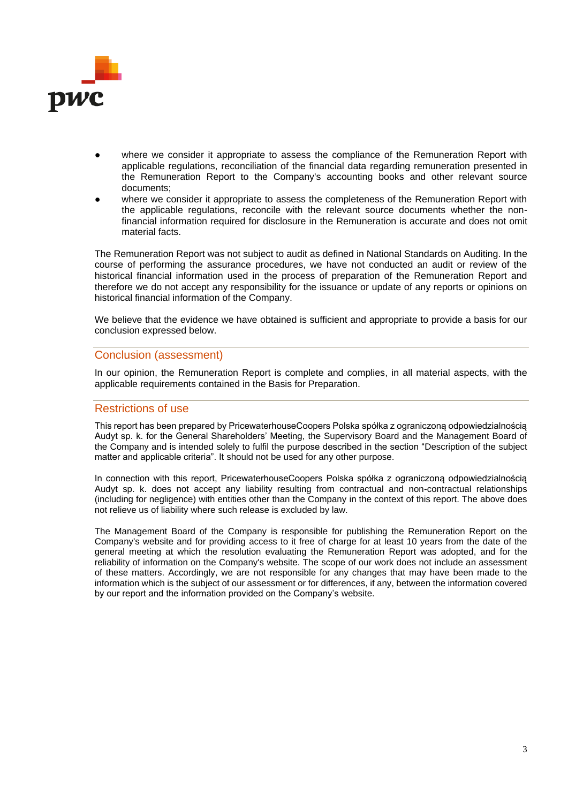

- where we consider it appropriate to assess the compliance of the Remuneration Report with applicable regulations, reconciliation of the financial data regarding remuneration presented in the Remuneration Report to the Company's accounting books and other relevant source documents;
- where we consider it appropriate to assess the completeness of the Remuneration Report with the applicable regulations, reconcile with the relevant source documents whether the nonfinancial information required for disclosure in the Remuneration is accurate and does not omit material facts.

The Remuneration Report was not subject to audit as defined in National Standards on Auditing. In the course of performing the assurance procedures, we have not conducted an audit or review of the historical financial information used in the process of preparation of the Remuneration Report and therefore we do not accept any responsibility for the issuance or update of any reports or opinions on historical financial information of the Company.

We believe that the evidence we have obtained is sufficient and appropriate to provide a basis for our conclusion expressed below.

#### Conclusion (assessment)

In our opinion, the Remuneration Report is complete and complies, in all material aspects, with the applicable requirements contained in the Basis for Preparation.

### Restrictions of use

This report has been prepared by PricewaterhouseCoopers Polska spółka z ograniczoną odpowiedzialnością Audyt sp. k. for the General Shareholders' Meeting, the Supervisory Board and the Management Board of the Company and is intended solely to fulfil the purpose described in the section "Description of the subject matter and applicable criteria". It should not be used for any other purpose.

In connection with this report, PricewaterhouseCoopers Polska spółka z ograniczoną odpowiedzialnością Audyt sp. k. does not accept any liability resulting from contractual and non-contractual relationships (including for negligence) with entities other than the Company in the context of this report. The above does not relieve us of liability where such release is excluded by law.

The Management Board of the Company is responsible for publishing the Remuneration Report on the Company's website and for providing access to it free of charge for at least 10 years from the date of the general meeting at which the resolution evaluating the Remuneration Report was adopted, and for the reliability of information on the Company's website. The scope of our work does not include an assessment of these matters. Accordingly, we are not responsible for any changes that may have been made to the information which is the subject of our assessment or for differences, if any, between the information covered by our report and the information provided on the Company's website.